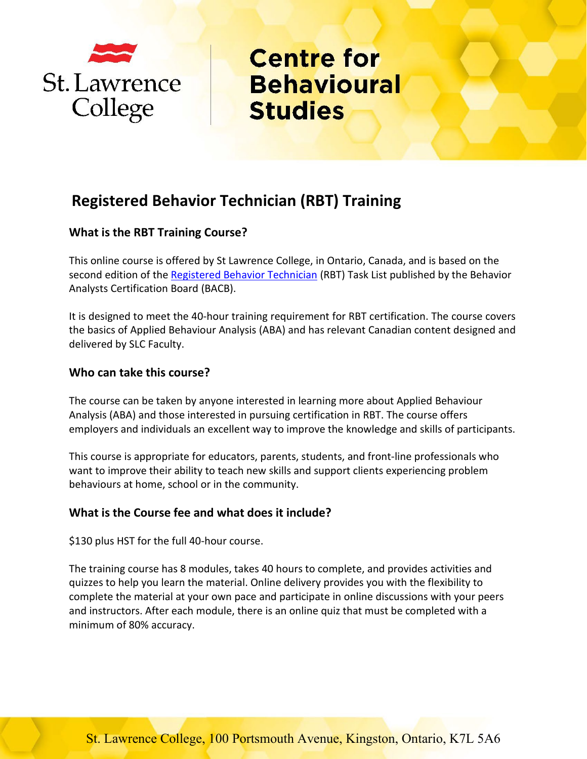

# **Registered Behavior Technician (RBT) Training**

## **What is the RBT Training Course?**

This online course is offered by St Lawrence College, in Ontario, Canada, and is based on the second edition of the [Registered Behavior Technician](https://www.bacb.com/rbt/) (RBT) Task List published by the Behavior Analysts Certification Board (BACB).

It is designed to meet the 40-hour training requirement for RBT certification. The course covers the basics of Applied Behaviour Analysis (ABA) and has relevant Canadian content designed and delivered by SLC Faculty.

### **Who can take this course?**

The course can be taken by anyone interested in learning more about Applied Behaviour Analysis (ABA) and those interested in pursuing certification in RBT. The course offers employers and individuals an excellent way to improve the knowledge and skills of participants.

This course is appropriate for educators, parents, students, and front-line professionals who want to improve their ability to teach new skills and support clients experiencing problem behaviours at home, school or in the community.

### **What is the Course fee and what does it include?**

\$130 plus HST for the full 40-hour course.

The training course has 8 modules, takes 40 hours to complete, and provides activities and quizzes to help you learn the material. Online delivery provides you with the flexibility to complete the material at your own pace and participate in online discussions with your peers and instructors. After each module, there is an online quiz that must be completed with a minimum of 80% accuracy.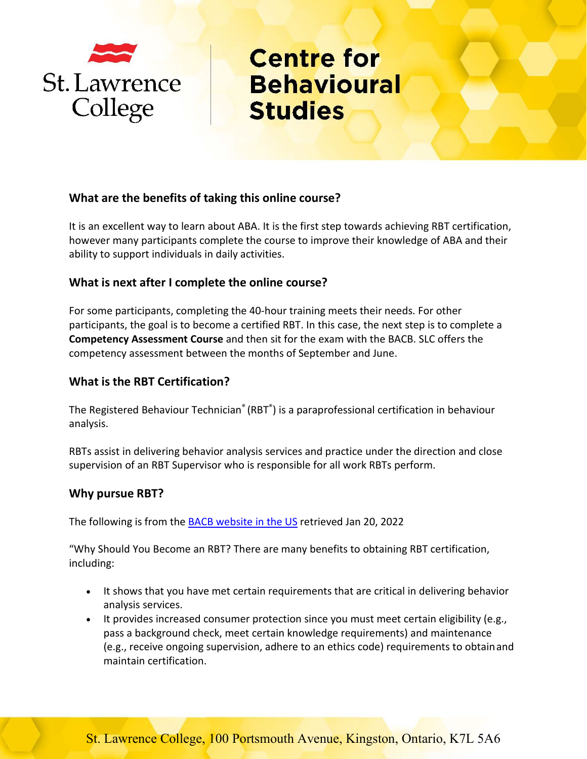

### **What are the benefits of taking this online course?**

It is an excellent way to learn about ABA. It is the first step towards achieving RBT certification, however many participants complete the course to improve their knowledge of ABA and their ability to support individuals in daily activities.

### **What is next after I complete the online course?**

For some participants, completing the 40-hour training meets their needs. For other participants, the goal is to become a certified RBT. In this case, the next step is to complete a **Competency Assessment Course** and then sit for the exam with the BACB. SLC offers the competency assessment between the months of September and June.

### **What is the RBT Certification?**

The Registered Behaviour Technician® (RBT®) is a paraprofessional certification in behaviour analysis.

RBTs assist in delivering behavior analysis services and practice under the direction and close supervision of an RBT Supervisor who is responsible for all work RBTs perform.

### **Why pursue RBT?**

The following is from the [BACB website in the US](https://www.bacb.com/wp-content/uploads/2022/01/RBTHandbook_220112.pdf) retrieved Jan 20, 2022

"Why Should You Become an RBT? There are many benefits to obtaining RBT certification, including:

- It shows that you have met certain requirements that are critical in delivering behavior analysis services.
- It provides increased consumer protection since you must meet certain eligibility (e.g., pass a background check, meet certain knowledge requirements) and maintenance (e.g., receive ongoing supervision, adhere to an ethics code) requirements to obtainand maintain certification.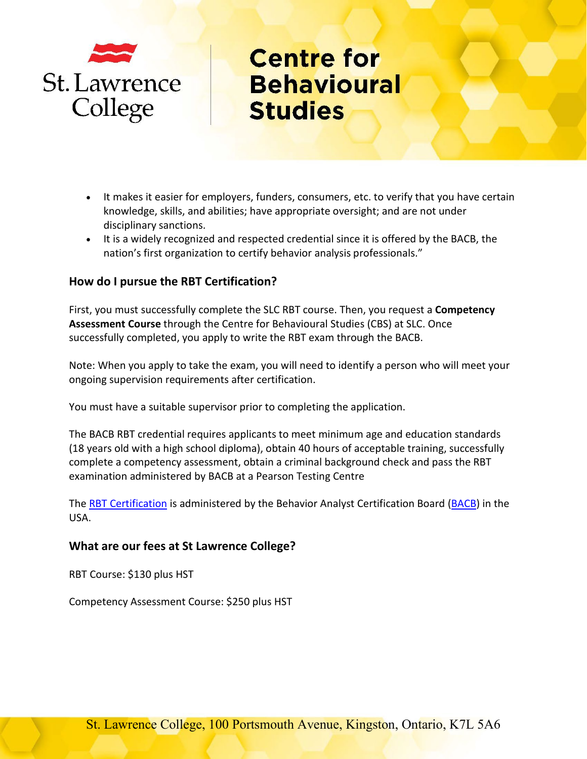

- It makes it easier for employers, funders, consumers, etc. to verify that you have certain knowledge, skills, and abilities; have appropriate oversight; and are not under disciplinary sanctions.
- It is a widely recognized and respected credential since it is offered by the BACB, the nation's first organization to certify behavior analysis professionals."

### **How do I pursue the RBT Certification?**

First, you must successfully complete the SLC RBT course. Then, you request a **Competency Assessment Course** through the Centre for Behavioural Studies (CBS) at SLC. Once successfully completed, you apply to write the RBT exam through the BACB.

Note: When you apply to take the exam, you will need to identify a person who will meet your ongoing supervision requirements after certification.

You must have a suitable supervisor prior to completing the application.

The BACB RBT credential requires applicants to meet minimum age and education standards (18 years old with a high school diploma), obtain 40 hours of acceptable training, successfully complete a competency assessment, obtain a criminal background check and pass the RBT examination administered by BACB at a Pearson Testing Centre

The [RBT Certification](https://www.bacb.com/rbt/) is administered by the Behavior Analyst Certification Board [\(BACB\)](https://www.bacb.com/) in the USA.

### **What are our fees at St Lawrence College?**

RBT Course: \$130 plus HST

Competency Assessment Course: \$250 plus HST